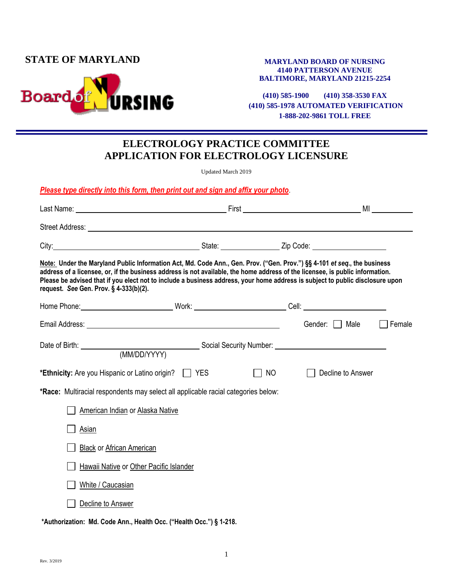### **STATE OF MARYLAND**



#### **MARYLAND BOARD OF NURSING 4140 PATTERSON AVENUE BALTIMORE, MARYLAND 21215-2254**

**(410) 585-1900 (410) 358-3530 FAX (410) 585-1978 AUTOMATED VERIFICATION 1-888-202-9861 TOLL FREE**

# **ELECTROLOGY PRACTICE COMMITTEE APPLICATION FOR ELECTROLOGY LICENSURE**

Updated March 2019

*Please type directly into this form, then print out and sign and affix your photo*.

|                                                                                                                                                                                                                                                                                                                                                                                                                                      |    |                   | MI and the state of the state of the state of the state of the state of the state of the state of the state of |
|--------------------------------------------------------------------------------------------------------------------------------------------------------------------------------------------------------------------------------------------------------------------------------------------------------------------------------------------------------------------------------------------------------------------------------------|----|-------------------|----------------------------------------------------------------------------------------------------------------|
|                                                                                                                                                                                                                                                                                                                                                                                                                                      |    |                   |                                                                                                                |
| City: 2000 City: 2000 City: 2000 City: 2000 City: 2000 City: 2000 City: 2000 City: 2000 City: 2000 City: 2000 City: 2000 City: 2000 City: 2000 City: 2000 City: 2000 City: 2000 City: 2000 City: 2000 City: 2000 City: 2000 Ci                                                                                                                                                                                                       |    |                   |                                                                                                                |
| Note: Under the Maryland Public Information Act, Md. Code Ann., Gen. Prov. ("Gen. Prov.") §§ 4-101 et seq., the business<br>address of a licensee, or, if the business address is not available, the home address of the licensee, is public information.<br>Please be advised that if you elect not to include a business address, your home address is subject to public disclosure upon<br>request. See Gen. Prov. § 4-333(b)(2). |    |                   |                                                                                                                |
|                                                                                                                                                                                                                                                                                                                                                                                                                                      |    |                   |                                                                                                                |
|                                                                                                                                                                                                                                                                                                                                                                                                                                      |    | Gender: [ ] Male  | Female                                                                                                         |
|                                                                                                                                                                                                                                                                                                                                                                                                                                      |    |                   |                                                                                                                |
| *Ethnicity: Are you Hispanic or Latino origin?   YES                                                                                                                                                                                                                                                                                                                                                                                 | NO | Decline to Answer |                                                                                                                |
| <b>*Race:</b> Multiracial respondents may select all applicable racial categories below:                                                                                                                                                                                                                                                                                                                                             |    |                   |                                                                                                                |
| American Indian or Alaska Native                                                                                                                                                                                                                                                                                                                                                                                                     |    |                   |                                                                                                                |
| Asian                                                                                                                                                                                                                                                                                                                                                                                                                                |    |                   |                                                                                                                |
| <b>Black or African American</b>                                                                                                                                                                                                                                                                                                                                                                                                     |    |                   |                                                                                                                |
| Hawaii Native or Other Pacific Islander                                                                                                                                                                                                                                                                                                                                                                                              |    |                   |                                                                                                                |
| White / Caucasian                                                                                                                                                                                                                                                                                                                                                                                                                    |    |                   |                                                                                                                |
| Decline to Answer                                                                                                                                                                                                                                                                                                                                                                                                                    |    |                   |                                                                                                                |

**\*Authorization: Md. Code Ann., Health Occ. ("Health Occ.") § 1-218.**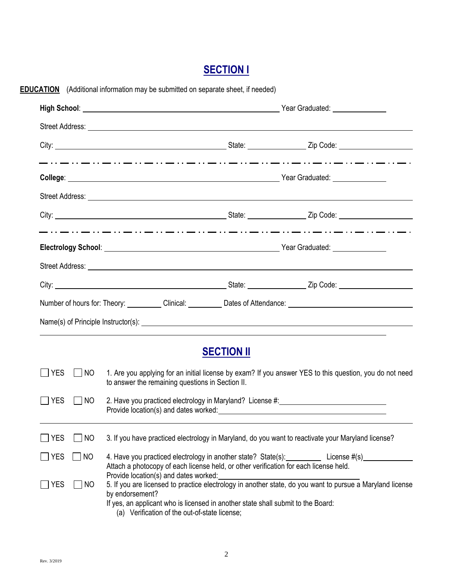# **SECTION I**

|                    |                                                                                                                                                             |                   | City: City: City: City: City: City: City: City: City: City: City: City: City: City: City: City: City: City: City: City: City: City: City: City: City: City: City: City: City: City: City: City: City: City: City: City: City:        |
|--------------------|-------------------------------------------------------------------------------------------------------------------------------------------------------------|-------------------|--------------------------------------------------------------------------------------------------------------------------------------------------------------------------------------------------------------------------------------|
|                    |                                                                                                                                                             |                   | مترور المتورة والمتورة والمتورة والمتورة والمتورة وللمورة والمتورة والمتورة والمتورة والمتورة والمتورة المتورة وللمورة                                                                                                               |
|                    |                                                                                                                                                             |                   |                                                                                                                                                                                                                                      |
|                    |                                                                                                                                                             |                   |                                                                                                                                                                                                                                      |
|                    |                                                                                                                                                             |                   | Electrology School: <u>New York: New York: New York: New York: New York: New York: New York: New York: New York: New York: New York: New York: New York: New York: New York: New York: New York: New York: New York: New York: N</u> |
|                    |                                                                                                                                                             |                   | Street Address: <u>Communications</u> Contract and Contract Contract Contract Contract Contract Contract Contract Contract Contract Contract Contract Contract Contract Contract Contract Contract Contract Contract Contract Contr  |
|                    |                                                                                                                                                             |                   |                                                                                                                                                                                                                                      |
|                    |                                                                                                                                                             |                   | Number of hours for: Theory: Clinical: Dates of Attendance: Clinical: Dates of Attendance:                                                                                                                                           |
|                    |                                                                                                                                                             |                   |                                                                                                                                                                                                                                      |
|                    |                                                                                                                                                             | <b>SECTION II</b> |                                                                                                                                                                                                                                      |
| YES<br>  NO        | 1. Are you applying for an initial license by exam? If you answer YES to this question, you do not need<br>to answer the remaining questions in Section II. |                   |                                                                                                                                                                                                                                      |
|                    | 2. Have you practiced electrology in Maryland? License #:<br>Provide location(s) and dates worked:                                                          |                   |                                                                                                                                                                                                                                      |
| <b>YES</b><br>  NO |                                                                                                                                                             |                   |                                                                                                                                                                                                                                      |
| YES<br><b>NO</b>   |                                                                                                                                                             |                   | 3. If you have practiced electrology in Maryland, do you want to reactivate your Maryland license?                                                                                                                                   |
| $]$ YES<br>NO      | Attach a photocopy of each license held, or other verification for each license held.<br>Provide location(s) and dates worked:                              |                   | 4. Have you practiced electrology in another state? State(s): License #(s)_                                                                                                                                                          |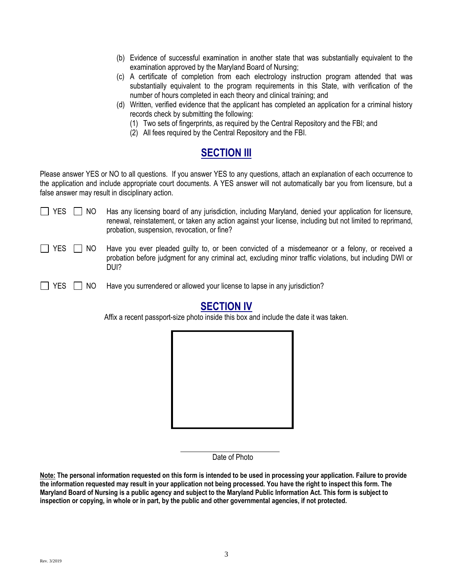- (b) Evidence of successful examination in another state that was substantially equivalent to the examination approved by the Maryland Board of Nursing;
- (c) A certificate of completion from each electrology instruction program attended that was substantially equivalent to the program requirements in this State, with verification of the number of hours completed in each theory and clinical training; and
- (d) Written, verified evidence that the applicant has completed an application for a criminal history records check by submitting the following:
	- (1) Two sets of fingerprints, as required by the Central Repository and the FBI; and
	- (2) All fees required by the Central Repository and the FBI.

# **SECTION III**

Please answer YES or NO to all questions. If you answer YES to any questions, attach an explanation of each occurrence to the application and include appropriate court documents. A YES answer will not automatically bar you from licensure, but a false answer may result in disciplinary action.

| $\Box$ YES $\Box$ NO | Has any licensing board of any jurisdiction, including Maryland, denied your application for licensure,   |
|----------------------|-----------------------------------------------------------------------------------------------------------|
|                      | renewal, reinstatement, or taken any action against your license, including but not limited to reprimand, |
|                      | probation, suspension, revocation, or fine?                                                               |

 $\Box$  YES  $\Box$  NO Have you ever pleaded quilty to, or been convicted of a misdemeanor or a felony, or received a probation before judgment for any criminal act, excluding minor traffic violations, but including DWI or DUI?

 $\Box$  YES  $\Box$  NO Have you surrendered or allowed your license to lapse in any jurisdiction?

## **SECTION IV**

Affix a recent passport-size photo inside this box and include the date it was taken.



Date of Photo

**Note: The personal information requested on this form is intended to be used in processing your application. Failure to provide the information requested may result in your application not being processed. You have the right to inspect this form. The Maryland Board of Nursing is a public agency and subject to the Maryland Public Information Act. This form is subject to inspection or copying, in whole or in part, by the public and other governmental agencies, if not protected.**